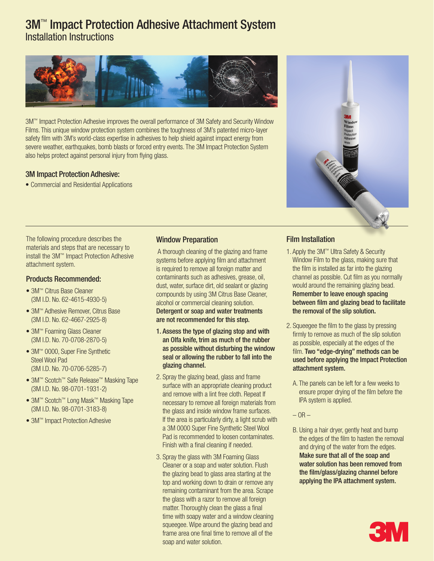# 3M<sup>™</sup> Impact Protection Adhesive Attachment System Installation Instructions



3M™ Impact Protection Adhesive improves the overall performance of 3M Safety and Security Window Films. This unique window protection system combines the toughness of 3M's patented micro-layer safety film with 3M's world-class expertise in adhesives to help shield against impact energy from severe weather, earthquakes, bomb blasts or forced entry events. The 3M Impact Protection System also helps protect against personal injury from flying glass.

## 3M Impact Protection Adhesive:

• Commercial and Residential Applications

The following procedure describes the materials and steps that are necessary to install the 3M™ Impact Protection Adhesive attachment system.

### Products Recommended:

- 3M™ Citrus Base Cleaner (3M I.D. No. 62-4615-4930-5)
- 3M™ Adhesive Remover, Citrus Base (3M I.D. No. 62-4667-2925-8)
- 3M™ Foaming Glass Cleaner (3M I.D. No. 70-0708-2870-5)
- 3M™ 0000, Super Fine Synthetic Steel Wool Pad (3M I.D. No. 70-0706-5285-7)
- 3M™ Scotch™ Safe Release™ Masking Tape (3M I.D. No. 98-0701-1931-2)
- 3M™ Scotch™ Long Mask™ Masking Tape (3M I.D. No. 98-0701-3183-8)
- 3M™ Impact Protection Adhesive

## Window Preparation

 A thorough cleaning of the glazing and frame systems before applying film and attachment is required to remove all foreign matter and contaminants such as adhesives, grease, oil, dust, water, surface dirt, old sealant or glazing compounds by using 3M Citrus Base Cleaner, alcohol or commercial cleaning solution.

#### Detergent or soap and water treatments are not recommended for this step.

- 1. Assess the type of glazing stop and with an Olfa knife, trim as much of the rubber as possible without disturbing the window seal or allowing the rubber to fall into the glazing channel.
- 2. Spray the glazing bead, glass and frame surface with an appropriate cleaning product and remove with a lint free cloth. Repeat If necessary to remove all foreign materials from the glass and inside window frame surfaces. If the area is particularly dirty, a light scrub with a 3M 0000 Super Fine Synthetic Steel Wool Pad is recommended to loosen contaminates. Finish with a final cleaning if needed.
- 3. Spray the glass with 3M Foaming Glass Cleaner or a soap and water solution. Flush the glazing bead to glass area starting at the top and working down to drain or remove any remaining contaminant from the area. Scrape the glass with a razor to remove all foreign matter. Thoroughly clean the glass a final time with soapy water and a window cleaning squeegee. Wipe around the glazing bead and frame area one final time to remove all of the soap and water solution.



## Film Installation

- 1. Apply the 3M™ Ultra Safety & Security Window Film to the glass, making sure that the film is installed as far into the glazing channel as possible. Cut film as you normally would around the remaining glazing bead. Remember to leave enough spacing between film and glazing bead to facilitate the removal of the slip solution**.**
- 2. Squeegee the film to the glass by pressing firmly to remove as much of the slip solution as possible, especially at the edges of the film. Two "edge-drying" methods can be used before applying the Impact Protection attachment system.
	- A. The panels can be left for a few weeks to ensure proper drying of the film before the IPA system is applied.
	- $-$  OR  $-$
	- B. Using a hair dryer, gently heat and bump the edges of the film to hasten the removal and drying of the water from the edges. Make sure that all of the soap and water solution has been removed from the film/glass/glazing channel before applying the IPA attachment system.